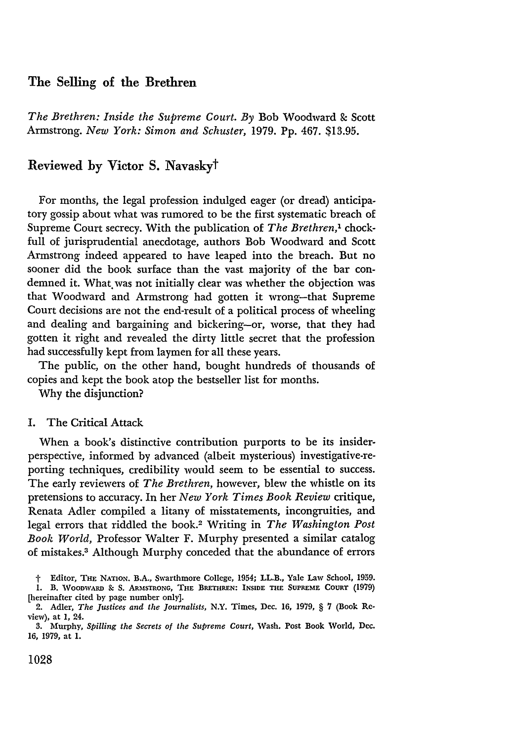## The Selling of the Brethren

The Brethren: Inside the Supreme Court. By Bob Woodward & Scott Armstrong. *New York: Simon and Schuster,* 1979. Pp. 467. \$13.95.

# Reviewed **by** Victor **S.** Navaskyt

For months, the legal profession indulged eager (or dread) anticipatory gossip about what was rumored to be the first systematic breach of Supreme Court secrecy. With the publication of *The Brethren,'* chockfull of jurisprudential anecdotage, authors Bob Woodward and Scott Armstrong indeed appeared to have leaped into the breach. But no sooner did the book surface than the vast majority of the bar condemned it. What was not initially clear was whether the objection was that Woodward and Armstrong had gotten it wrong-that Supreme Court decisions are not the end-result of a political process of wheeling and dealing and bargaining and bickering-or, worse, that they had gotten it right and revealed the dirty little secret that the profession had successfully kept from laymen for all these years.

The public, on the other hand, bought hundreds of thousands of copies and kept the book atop the bestseller list for months.

**Why** the disjunction?

#### I. The Critical Attack

When a book's distinctive contribution purports to be its insiderperspective, informed by advanced (albeit mysterious) investigative-reporting techniques, credibility would seem to be essential to success. The early reviewers of *The Brethren,* however, blew the whistle on its pretensions to accuracy. In her *New York Times Book Review* critique, Renata Adler compiled a litany of misstatements, incongruities, and legal errors that riddled the book.2 Writing in *The Washington Post Book World,* Professor Walter F. Murphy presented a similar catalog of mistakes.3 Although Murphy conceded that the abundance of errors

1028

t Editor, **THE NATION.** B.A., Swarthmore College, 1954; LL.B., Yale Law School, **1959.**

**<sup>1.</sup>** B. **WOODWARD &** *S.* ARMSTRONG, **THE BRETHREN: INSIDE THE SUPREME CouRT (1979)** [hereinafter cited by page number only].

<sup>2.</sup> Adler, *The Justices and the Journalists,* N.Y. Times, Dec. 16, 1979, § 7 (Book Review), at 1, 24.

**<sup>3.</sup>** Murphy, *Spilling the Secrets of the Supreme Court,* Wash. Post Book World, Dec. 16, 1979, at **1.**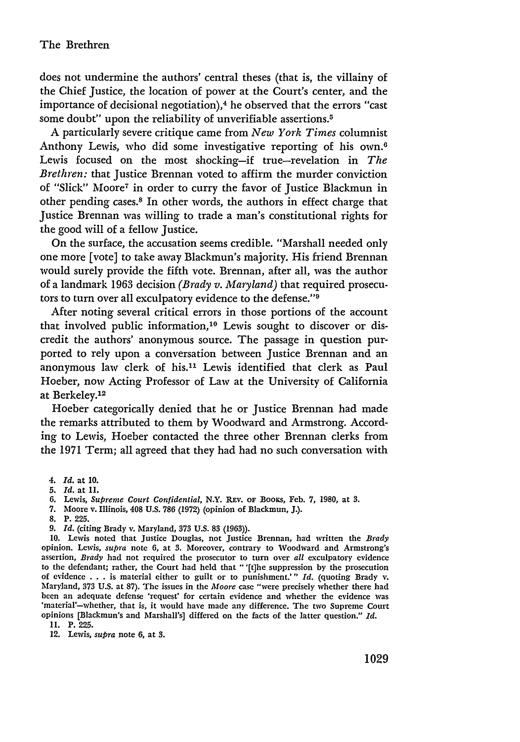does not undermine the authors' central theses (that is, the villainy of the Chief Justice, the location of power at the Court's center, and the importance of decisional negotiation),<sup>4</sup> he observed that the errors "cast some doubt" upon the reliability of unverifiable assertions.<sup>5</sup>

**A** particularly severe critique came from *New York Times* columnist Anthony Lewis, who did some investigative reporting of his own.<sup>6</sup> Lewis focused on the most shocking-if true-revelation in *The Brethren:* that Justice Brennan voted to affirm the murder conviction of "Slick" Moore7 in order to curry the favor of Justice Blackmun in other pending cases.8 In other words, the authors in effect charge that Justice Brennan was willing to trade a man's constitutional rights for the good will of a fellow Justice.

On the surface, the accusation seems credible. "Marshall needed only one more [vote] to take away Blackmun's majority. His friend Brennan would surely provide the fifth vote. Brennan, after all, was the author of a landmark 1963 decision *(Brady v. Maryland)* that required prosecutors to turn over all exculpatory evidence to the defense."<sup>9</sup>

After noting several critical errors in those portions of the account that involved public information,<sup>10</sup> Lewis sought to discover or discredit the authors' anonymous source. The passage in question purported to rely upon a conversation between Justice Brennan and an anonymous law clerk of his.'1 Lewis identified that clerk as Paul Hoeber, now Acting Professor of Law at the University of California at Berkeley.<sup>12</sup>

Hoeber categorically denied that he or Justice Brennan had made the remarks attributed to them by Woodward and Armstrong. According to Lewis, Hoeber contacted the three other Brennan clerks from the 1971 Term; all agreed that they had had no such conversation with

- 7. Moore v. Illinois, 408 U.S. **786** (1972) (opinion of Blackmun, J.).
- **8.** P. **225.**
- **9.** *Id.* (citing Brady v. Maryland, **373 U.S. 83 (1963)).**

**10.** Lewis noted that Justice Douglas, not Justice Brennan, had written the *Brady* opinion. Lewis, *supra* note **6,** at **3.** Moreover, contrary to Woodward and Armstrong's assertion, *Brady* had not required the prosecutor to turn over *all* exculpatory evidence to the defendant; rather, the Court had held that "'[t]he suppression **by** the prosecution of evidence **. . .** is material either to guilt or to punishment.'" *Id.* (quoting Brady v. Maryland, **373 U.S.** at **87).** The issues in the *Moore* case "were precisely whether there had been an adequate defense 'request' for certain evidence and whether the evidence was 'material'-whether, that is, it would have made any difference. The two Supreme Court opinions [Blackmun's and Marshall's] differed on the facts of the latter question." *Id.*

**11.** P. **225.**

12. Lewis, *supra* note **6,** at **3.**

<sup>4.</sup> *Id.* at **10.**

**<sup>5.</sup>** *Id.* at **11.**

**<sup>6.</sup>** Lewis, *Supreme Court Confidential,* N.Y. **REv. OF** BooKs, **Feb. 7,** 1980, at **3.**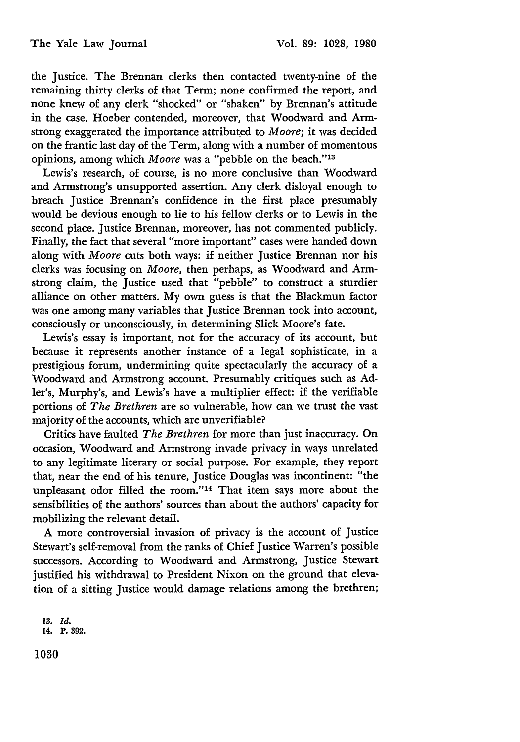the Justice. The Brennan clerks then contacted twenty-nine of the remaining thirty clerks of that Term; none confirmed the report, and none knew of any clerk "shocked" or "shaken" **by** Brennan's attitude in the case. Hoeber contended, moreover, that Woodward and Armstrong exaggerated the importance attributed to *Moore;* it was decided on the frantic last day of the Term, along with a number of momentous opinions, among which *Moore* was a "pebble on the beach."'<sup>13</sup>

Lewis's research, of course, is no more conclusive than Woodward and Armstrong's unsupported assertion. Any clerk disloyal enough to breach Justice Brennan's confidence in the first place presumably would be devious enough to lie to his fellow clerks or to Lewis in the second place. Justice Brennan, moreover, has not commented publicly. Finally, the fact that several "more important" cases were handed down along with *Moore* cuts both ways: if neither Justice Brennan nor his clerks was focusing on *Moore,* then perhaps, as Woodward and Armstrong claim, the Justice used that "pebble" to construct a sturdier alliance on other matters. **My** own guess is that the Blackmun factor was one among many variables that Justice Brennan took into account, consciously or unconsciously, in determining Slick Moore's fate.

Lewis's essay is important, not for the accuracy of its account, but because it represents another instance of a legal sophisticate, in a prestigious forum, undermining quite spectacularly the accuracy of a Woodward and Armstrong account. Presumably critiques such as Adler's, Murphy's, and Lewis's have a multiplier effect: if the verifiable portions of *The Brethren* are so vulnerable, how can we trust the vast majority of the accounts, which are unverifiable?

Critics have faulted *The Brethren* for more than just inaccuracy. On occasion, Woodward and Armstrong invade privacy in ways unrelated to any legitimate literary or social purpose. For example, they report that, near the end of his tenure, Justice Douglas was incontinent: "the unpleasant odor filled the room."<sup>14</sup> That item says more about the sensibilities of the authors' sources than about the authors' capacity for mobilizing the relevant detail.

A more controversial invasion of privacy is the account of Justice Stewart's self-removal from the ranks of Chief Justice Warren's possible successors. According to Woodward and Armstrong, Justice Stewart justified his withdrawal to President Nixon on the ground that elevation of a sitting Justice would damage relations among the brethren;

**1030**

*<sup>13.</sup> Id.* **14. P. 392.**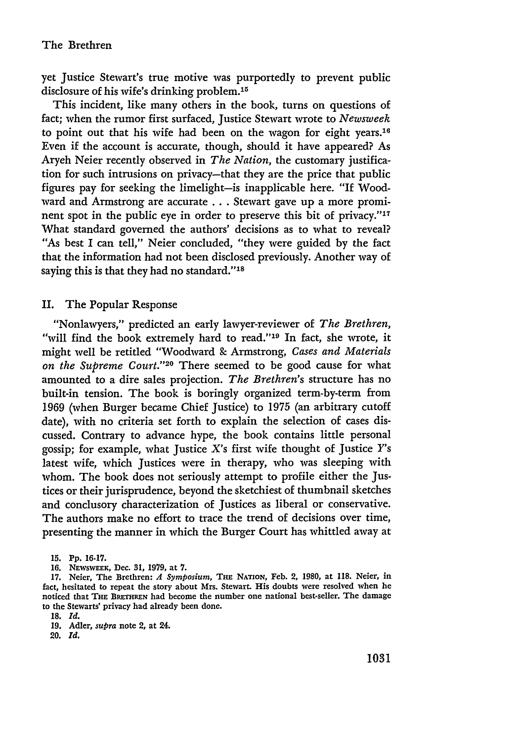yet Justice Stewart's true motive was purportedly to prevent public disclosure of his wife's drinking problem. <sup>15</sup>

This incident, like many others in the book, turns on questions of fact; when the rumor first surfaced, Justice Stewart wrote to *Newsweek* to point out that his wife had been on the wagon for eight years.<sup>16</sup> Even if the account is accurate, though, should it have appeared? As Aryeh Neier recently observed in *The Nation,* the customary justification for such intrusions on privacy-that they are the price that public figures pay for seeking the limelight-is inapplicable here. "If Woodward and Armstrong are accurate **. ..** Stewart gave up a more prominent spot in the public eye in order to preserve this bit of privacy."<sup>17</sup> What standard governed the authors' decisions as to what to reveal? "As best I can tell," Neier concluded, "they were guided by the fact that the information had not been disclosed previously. Another way of saying this is that they had no standard."<sup>18</sup>

#### II. The Popular Response

"Nonlawyers," predicted an early lawyer-reviewer of *The Brethren,* "will find the book extremely hard to read."<sup>19</sup> In fact, she wrote, it might well be retitled "Woodward **k** Armstrong, *Cases and Materials on the Supreme Court."20* There seemed to be good cause for what amounted to a dire sales projection. *The Brethren's* structure has no built-in tension. The book is boringly organized term-by-term from 1969 (when Burger became Chief Justice) to 1975 (an arbitrary cutoff date), with no criteria set forth to explain the selection of cases discussed. Contrary to advance hype, the book contains little personal gossip; for example, what Justice  $X$ 's first wife thought of Justice  $Y$ 's latest wife, which Justices were in therapy, who was sleeping with whom. The book does not seriously attempt to profile either the Justices or their jurisprudence, beyond the sketchiest of thumbnail sketches and conclusory characterization of Justices as liberal or conservative. The authors make no effort to trace the trend of decisions over time, presenting the manner in which the Burger Court has whittled away at

**<sup>15.</sup>** Pp. **16-17.**

**<sup>16.</sup>** NEWSWEEK, Dec. **31,** 1979, at **7.**

**<sup>17.</sup>** Neier, The Brethren: *A Symposium,* THE NATION, Feb. 2, **1980,** at **118.** Neier, in fact, hesitated to repeat the story about Mrs. Stewart. His doubts were resolved when he noticed that THE BRETHREN had become the number one national best-seller. The damage to the Stewarts' privacy had already been done.

<sup>18.</sup> *Id.*

<sup>19.</sup> Adler, *supra* note 2, at 24.

<sup>20.</sup> *Id.*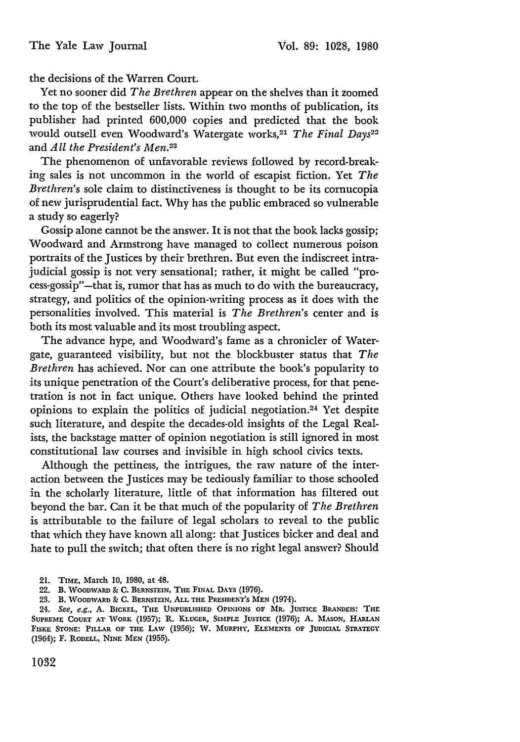the decisions of the Warren Court.

Yet no sooner did *The Brethren* appear on the shelves than it zoomed to the top of the bestseller lists. Within two months of publication, its publisher had printed 600,000 copies and predicted that the book would outsell even Woodward's Watergate works, <sup>21</sup>*The Final Days22* and *All the President's Men.2 <sup>3</sup>*

The phenomenon of unfavorable reviews followed by record-breaking sales is not uncommon in the world of escapist fiction. Yet *The Brethren's* sole claim to distinctiveness is thought to be its cornucopia of new jurisprudential fact. Why has the public embraced so vulnerable a study so eagerly?

Gossip alone cannot be the answer. It is not that the book lacks gossip; Woodward and Armstrong have managed to collect numerous poison portraits of the Justices by their brethren. But even the indiscreet intrajudicial gossip is not very sensational; rather, it might be called "process-gossip"-that is, rumor that has as much to do with the bureaucracy, strategy, and politics of the opinion-writing process as it does with the personalities involved. This material is *The Brethren's* center and is both its most valuable and its most troubling aspect.

The advance hype, and Woodward's fame as a chronicler of Watergate, guaranteed visibility, but not the blockbuster status that *The Brethren* has achieved. Nor can one attribute the book's popularity to its unique penetration of the Court's deliberative process, for that penetration is not in fact unique. Others have looked behind the printed opinions to explain the politics of judicial negotiation.<sup>24</sup> Yet despite such literature, and despite the decades-old insights of the Legal Realists, the backstage matter of opinion negotiation is still ignored in most constitutional law courses and invisible in high school civics texts.

Although the pettiness, the intrigues, the raw nature of the interaction between the Justices may be tediously familiar to those schooled in the scholarly literature, little of that information has filtered out beyond the bar. Can it be that much of the popularity of *The Brethren* is attributable to the failure of legal scholars to reveal to the public that which they have known all along: that Justices bicker and deal and hate to pull the switch; that often there is no right legal answer? Should

- 21. **TIME,** March **10, 1980,** at 48.
- 22. B. WooDWARD **& C. BERNSTEIN, THE FINAL DAYS** (1976).
- **23.** B. WOODWARD & **C. BERNSTEIN, ALL THE PRESIDENT'S MEN** (1974).

24. See, e.g., **A. BICKEL, THE UNPUBLISHED OPINIONS OF** MR. **JUSTICE BRANDEIS:** THE **SUPREME COURT AT** WORK (1957); R. KLUGER, **SIMPLE JUSTICE** (1976); A. **MASON,** HARLAN **FISKE STONE: PILLAR OF THE** LAw **(1956); W. MURPHY, ELEMENTS OF JUDICIAL STRATEGY** (1964); F. **RODELL, NINE MEN (1955).**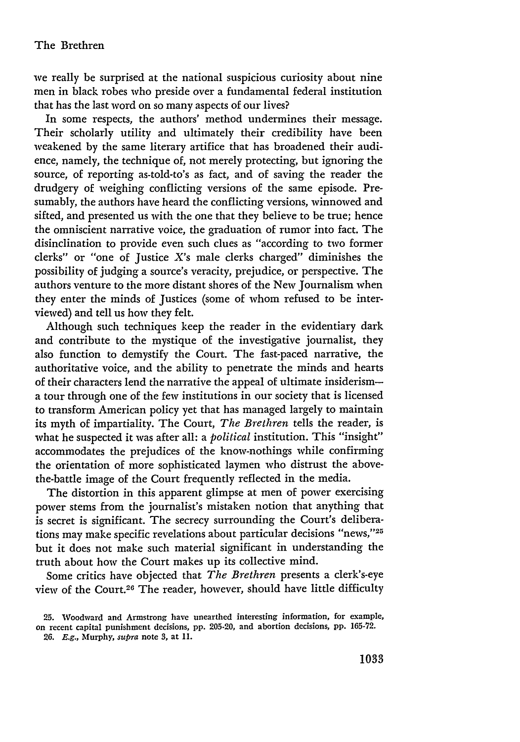we really be surprised at the national suspicious curiosity about nine men in black robes who preside over a fundamental federal institution that has the last word on so many aspects of our lives?

In some respects, the authors' method undermines their message. Their scholarly utility and ultimately their credibility have been weakened by the same literary artifice that has broadened their audience, namely, the technique of, not merely protecting, but ignoring the source, of reporting as-told-to's as fact, and of saving the reader the drudgery of weighing conflicting versions of the same episode. Presumably, the authors have heard the conflicting versions, winnowed and sifted, and presented us with the one that they believe to be true; hence the omniscient narrative voice, the graduation of rumor into fact. The disinclination to provide even such clues as "according to two former clerks" or "one of Justice X's male clerks charged" diminishes the possibility of judging a source's veracity, prejudice, or perspective. The authors venture to the more distant shores of the New Journalism when they enter the minds of Justices (some of whom refused to be interviewed) and tell us how they felt.

Although such techniques keep the reader in the evidentiary dark and contribute to the mystique of the investigative journalist, they also function to demystify the Court. The fast-paced narrative, the authoritative voice, and the ability to penetrate the minds and hearts of their characters lend the narrative the appeal of ultimate insiderisma tour through one of the few institutions in our society that is licensed to transform American policy yet that has managed largely to maintain its myth of impartiality. The Court, *The Brethren* tells the reader, is what he suspected it was after all: a *political* institution. This "insight" accommodates the prejudices of the know-nothings while confirming the orientation of more sophisticated laymen who distrust the abovethe-battle image of the Court frequently reflected in the media.

The distortion in this apparent glimpse at men of power exercising power stems from the journalist's mistaken notion that anything that is secret is significant. The secrecy surrounding the Court's deliberations may make specific revelations about particular decisions "news,"25 but it does not make such material significant in understanding the truth about how the Court makes up its collective mind.

Some critics have objected that *The Brethren* presents a clerk's-eye view of the Court.<sup>26</sup> The reader, however, should have little difficulty

**<sup>25.</sup>** Woodward and Armstrong have unearthed interesting information, for example, on recent capital punishment decisions, pp. 205-20, and abortion decisions, pp. 165-72.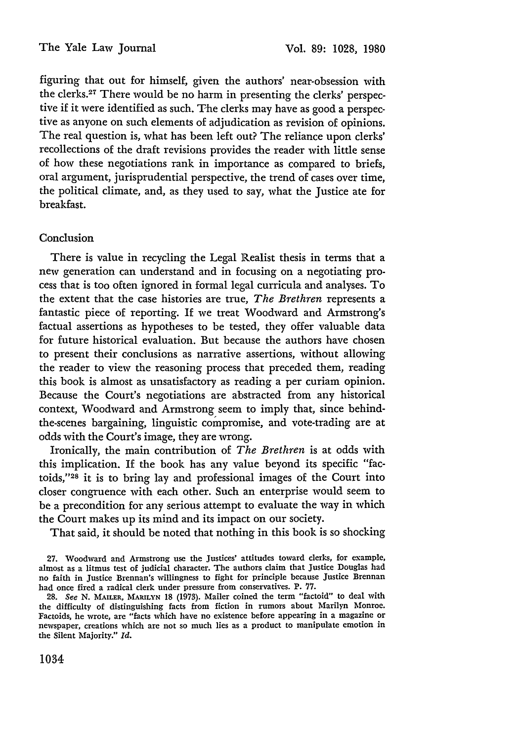figuring that out for himself, given the authors' near-obsession with the clerks. 27 There would be no harm in presenting the clerks' perspective if it were identified as such. The clerks may have as good a perspective as anyone on such elements of adjudication as revision of opinions. The real question is, what has been left out? The reliance upon clerks' recollections of the draft revisions provides the reader with little sense of how these negotiations rank in importance as compared to briefs, oral argument, jurisprudential perspective, the trend of cases over time, the political climate, and, as they used to say, what the Justice ate for breakfast.

### Conclusion

There is value in recycling the Legal Realist thesis in terms that a new generation can understand and in focusing on a negotiating process that is too often ignored in formal legal curricula and analyses. To the extent that the case histories are true, *The Brethren* represents a fantastic piece of reporting. If we treat Woodward and Armstrong's factual assertions as hypotheses to be tested, they offer valuable data for future historical evaluation. But because the authors have chosen to present their conclusions as narrative assertions, without allowing the reader to view the reasoning process that preceded them, reading this book is almost as unsatisfactory as reading a per curiam opinion. Because the Court's negotiations are abstracted from any historical context, Woodward and Armstrong seem to imply that, since behindthe-scenes bargaining, linguistic compromise, and vote-trading are at odds with the Court's image, they are wrong.

Ironically, the main contribution of *The Brethren* is at odds with this implication. If the book has any value beyond its specific "factoids," 28 it is to bring lay and professional images of the Court into closer congruence with each other. Such an enterprise would seem to be a precondition for any serious attempt to evaluate the way in which the Court makes up its mind and its impact on our society.

That said, it should be noted that nothing in this book is so shocking

**<sup>27.</sup>** Woodward and Armstrong use the Justices' attitudes toward clerks, for example, almost as a litmus test of judicial character. The authors claim that Justice Douglas had no faith in Justice Brennan's willingness to fight for principle because Justice Brennan had once fired a radical clerk under pressure from conservatives. P. **77.**

<sup>28.</sup> See **N.** MAILER, MARILYN **18 (1973).** Mailer coined the term "factoid" to deal with the difficulty of distinguishing facts from fiction in rumors about Marilyn Monroe. Factoids, he wrote, are "facts which have no existence before appearing in a magazine or newspaper, creations which are not so much lies as a product to manipulate emotion in the Silent Majority." *Id.*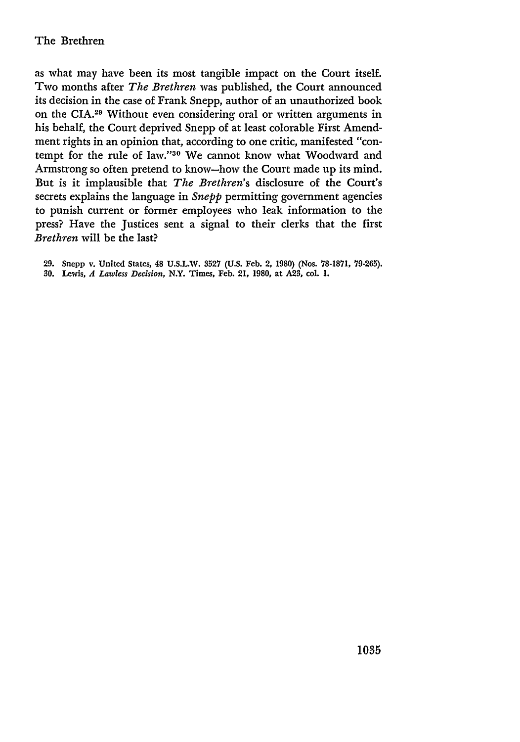as what may have been its most tangible impact on the Court itself. Two months after *The Brethren* was published, the Court announced its decision in the case of Frank Snepp, author of an unauthorized book on the CIA.29 Without even considering oral or written arguments in his behalf, the Court deprived Snepp of at least colorable First Amendment rights in an opinion that, according to one critic, manifested "contempt for the rule of law."<sup>30</sup> We cannot know what Woodward and Armstrong so often pretend to know-how the Court made up its mind. But is it implausible that *The Brethren's* disclosure of the Court's secrets explains the language in *Snepp* permitting government agencies to punish current or former employees who leak information to the press? Have the Justices sent a signal to their clerks that the first *Brethren* will be the last?

**30.** Lewis, *A Lawless Decision,* N.Y. Times, Feb. 21, 1980, at A23, col. **1.**

**<sup>29.</sup>** Snepp v. United States, 48 U.S.L.W. **3527** (U.S. Feb. 2, 1980) (Nos. 78-1871, **79-265).**